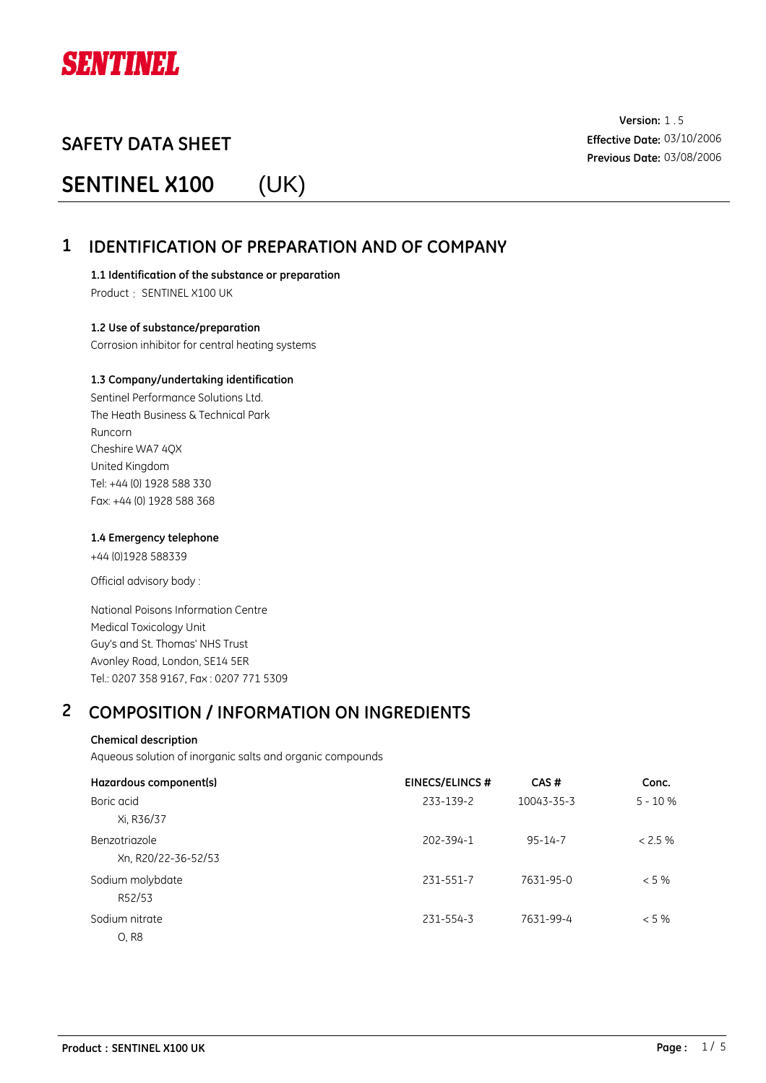

# **SENTINEL X100** (UK)

**Version:** 1.5 **Effective Date:** 03/10/2006 **Previous Date:** 03/08/2006

## **1 IDENTIFICATION OF PREPARATION AND OF COMPANY**

**1.1 Identification of the substance or preparation** Product : SENTINEL X100 UK

**1.2 Use of substance/preparation** Corrosion inhibitor for central heating systems

#### **1.3 Company/undertaking identification**

Sentinel Performance Solutions Ltd. The Heath Business & Technical Park Runcorn Cheshire WA7 4QX United Kingdom Tel: +44 (0) 1928 588 330 Fax: +44 (0) 1928 588 368

#### **1.4 Emergency telephone**

+44 (0)1928 588339

Official advisory body :

National Poisons Information Centre Medical Toxicology Unit Guy's and St. Thomas' NHS Trust Avonley Road, London, SE14 5ER Tel.: 0207 358 9167, Fax : 0207 771 5309

## **2 COMPOSITION / INFORMATION ON INGREDIENTS**

### **Chemical description**

Aqueous solution of inorganic salts and organic compounds

| Hazardous component(s)               | <b>EINECS/ELINCS#</b> | CAS#          | Conc.     |
|--------------------------------------|-----------------------|---------------|-----------|
| Boric acid<br>Xi, R36/37             | 233-139-2             | 10043-35-3    | $5 - 10%$ |
| Benzotriazole<br>Xn, R20/22-36-52/53 | 202-394-1             | $95 - 14 - 7$ | $< 2.5\%$ |
| Sodium molybdate<br>R52/53           | 231-551-7             | 7631-95-0     | $<$ 5 %   |
| Sodium nitrate<br>0, R8              | 231-554-3             | 7631-99-4     | $<$ 5 %   |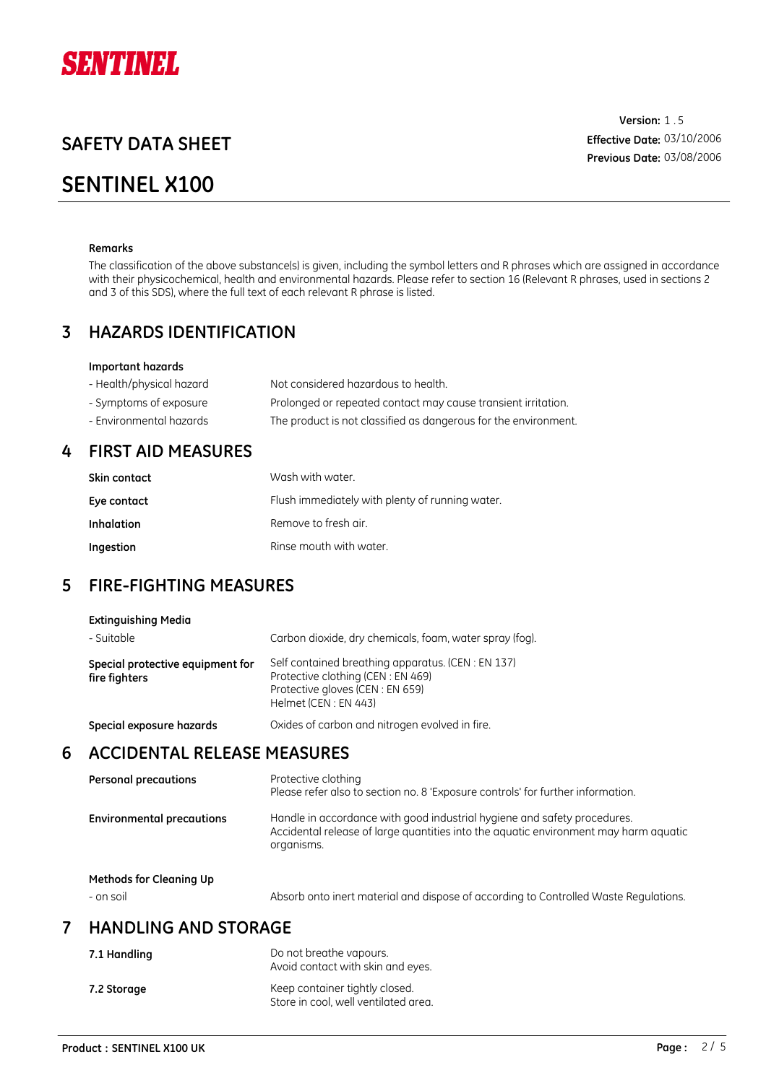

## **SENTINEL X100**

**Version:** 1.5 **Effective Date:** 03/10/2006 **Previous Date:** 03/08/2006

#### **Remarks**

The classification of the above substance(s) is given, including the symbol letters and R phrases which are assigned in accordance with their physicochemical, health and environmental hazards. Please refer to section 16 (Relevant R phrases, used in sections 2 and 3 of this SDS), where the full text of each relevant R phrase is listed.

### **3 HAZARDS IDENTIFICATION**

#### **Important hazards**

| - Health/physical hazard | Not considered hazardous to health.                             |
|--------------------------|-----------------------------------------------------------------|
| - Symptoms of exposure   | Prolonged or repeated contact may cause transient irritation.   |
| - Environmental hazards  | The product is not classified as dangerous for the environment. |

### **4 FIRST AID MEASURES**

| Skin contact | Wash with water.                                |
|--------------|-------------------------------------------------|
| Eye contact  | Flush immediately with plenty of running water. |
| Inhalation   | Remove to fresh air.                            |
| Ingestion    | Rinse mouth with water.                         |

## **5 FIRE-FIGHTING MEASURES**

| <b>Extinguishing Media</b><br>- Suitable          | Carbon dioxide, dry chemicals, foam, water spray (fog).                                                                                                                        |
|---------------------------------------------------|--------------------------------------------------------------------------------------------------------------------------------------------------------------------------------|
| Special protective equipment for<br>fire fighters | Self contained breathing apparatus. (CEN: EN 137)<br>Protective clothing (CEN: EN 469)<br>Protective gloves (CEN: EN 659)<br>Helmet (CEN: EN 443)                              |
| Special exposure hazards                          | Oxides of carbon and nitrogen evolved in fire.                                                                                                                                 |
| <b>ACCIDENTAL RELEASE MEASURES</b>                |                                                                                                                                                                                |
| <b>Personal precautions</b>                       | Protective clothing<br>Please refer also to section no. 8 'Exposure controls' for further information.                                                                         |
| <b>Environmental precautions</b>                  | Handle in accordance with good industrial hygiene and safety procedures.<br>Accidental release of large quantities into the aguatic environment may harm aguatic<br>organisms. |

**Methods for Cleaning Up**

**6**

- on soil Absorb onto inert material and dispose of according to Controlled Waste Regulations.

## **7 HANDLING AND STORAGE**

| 7.1 Handling | Do not breathe vapours.<br>Avoid contact with skin and eyes.           |
|--------------|------------------------------------------------------------------------|
| 7.2 Storage  | Keep container tightly closed.<br>Store in cool, well ventilated area. |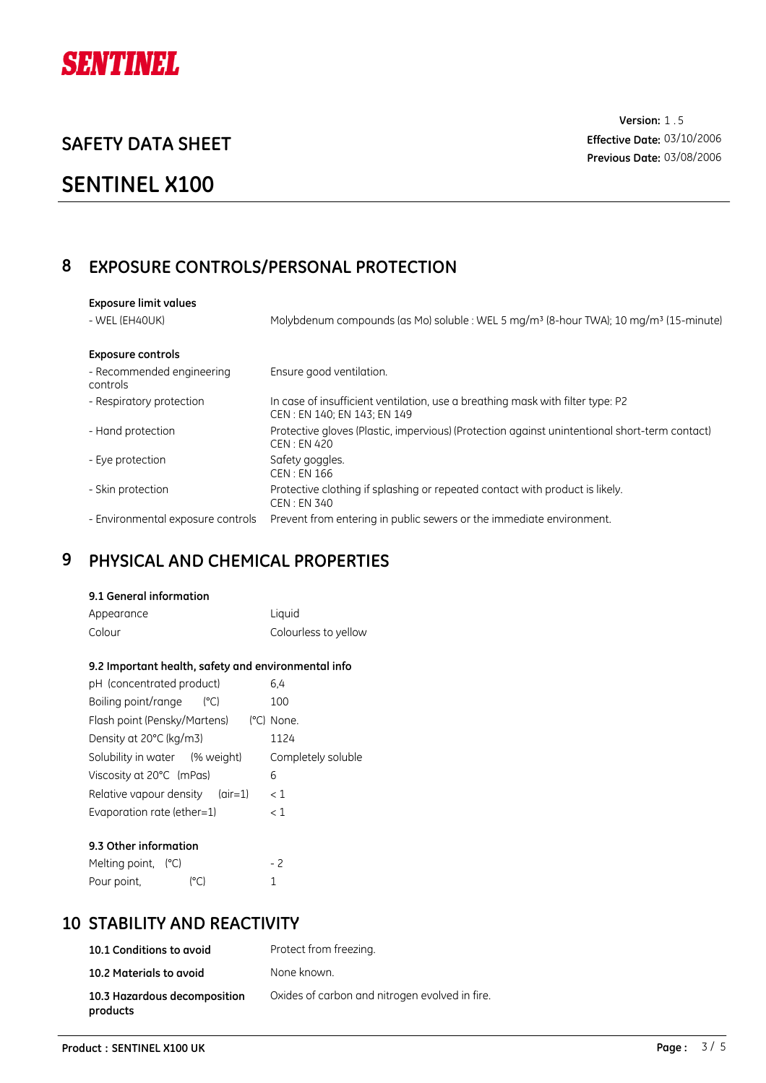

# **SENTINEL X100**

**Version:** 1.5 **Effective Date:** 03/10/2006 **Previous Date:** 03/08/2006

## **8 EXPOSURE CONTROLS/PERSONAL PROTECTION**

| <b>Exposure limit values</b>          |                                                                                                               |
|---------------------------------------|---------------------------------------------------------------------------------------------------------------|
| - WEL (EH40UK)                        | Molybdenum compounds (as Mo) soluble : WEL 5 mg/m <sup>3</sup> (8-hour TWA); 10 mg/m <sup>3</sup> (15-minute) |
| <b>Exposure controls</b>              |                                                                                                               |
| - Recommended engineering<br>controls | Ensure good ventilation.                                                                                      |
| - Respiratory protection              | In case of insufficient ventilation, use a breathing mask with filter type: P2<br>CEN: EN 140; EN 143; EN 149 |
| - Hand protection                     | Protective gloves (Plastic, impervious) (Protection against unintentional short-term contact)<br>CEN : EN 420 |
| - Eye protection                      | Safety goggles.<br>CEN: EN 166                                                                                |
| - Skin protection                     | Protective clothing if splashing or repeated contact with product is likely.<br>CEN : EN 340                  |
| - Environmental exposure controls     | Prevent from entering in public sewers or the immediate environment.                                          |

# **9 PHYSICAL AND CHEMICAL PROPERTIES**

#### **9.1 General information**

| Appearance | Liquid               |
|------------|----------------------|
| Colour     | Colourless to yellow |

#### **9.2 Important health, safety and environmental info**

| pH (concentrated product)         | 6.4                |
|-----------------------------------|--------------------|
| Boiling point/range<br>(°C)       | 100                |
| Flash point (Pensky/Martens)      | (°C) None.         |
| Density at 20°C (kg/m3)           | 1124               |
| Solubility in water (% weight)    | Completely soluble |
| Viscosity at 20°C (mPas)          | 6                  |
| Relative vapour density $(air=1)$ | < 1                |
| Evaporation rate (ether=1)        | $\lt 1$            |
|                                   |                    |

| 9.3 Other information |              |     |
|-----------------------|--------------|-----|
| Melting point, $(C)$  |              | - 2 |
| Pour point,           | $(^\circ$ C) |     |

## **10 STABILITY AND REACTIVITY**

| 10.1 Conditions to avoid                 | Protect from freezing.                         |
|------------------------------------------|------------------------------------------------|
| 10.2 Materials to avoid                  | None known.                                    |
| 10.3 Hazardous decomposition<br>products | Oxides of carbon and nitrogen evolved in fire. |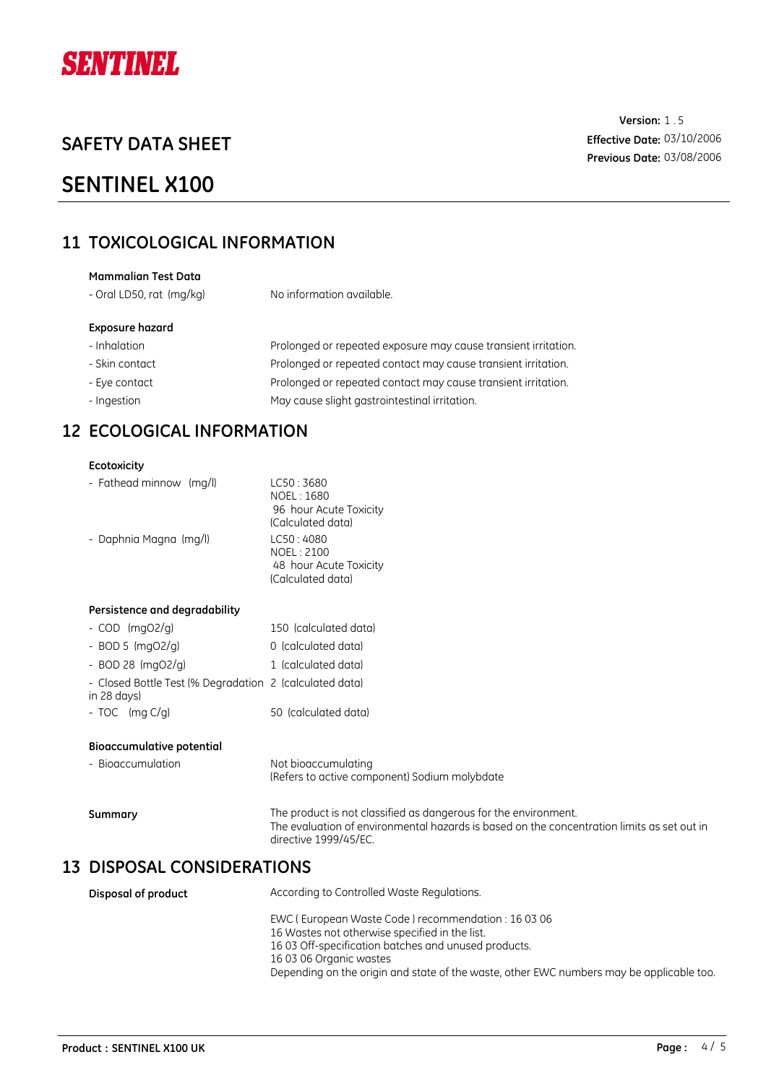

## **SENTINEL X100**

## **11 TOXICOLOGICAL INFORMATION**

### **Exposure hazard** - Inhalation **Prolonged or repeated exposure may cause transient irritation.** - Skin contact **Prolonged or repeated contact may cause transient irritation.** - Eye contact **Prolonged or repeated contact may cause transient irritation. Mammalian Test Data** - Oral LD50, rat (mg/kg) No information available.

- Ingestion **May cause slight gastrointestinal irritation.** 

## **12 ECOLOGICAL INFORMATION**

#### **Ecotoxicity**

| - Fathead minnow (mg/l)       | LC50: 3680<br>NOEL: 1680<br>96 hour Acute Toxicity<br>(Calculated data) |
|-------------------------------|-------------------------------------------------------------------------|
| - Daphnia Magna (mg/l)        | LC50:4080<br>NOEL: 2100<br>48 hour Acute Toxicity<br>(Calculated data)  |
| Persistence and degradability |                                                                         |
| - $COD$ (mgO2/g)              | 150 (calculated data)                                                   |
| P(X, F   max P(X   x))        | المقتمام اممقمان بمالممات                                               |

- BOD 5 (mgO2/g) 0 (calculated data) - BOD 28 (mgO2/g) 1 (calculated data)
- 
- Closed Bottle Test (% Degradation 2 (calculated data) in 28 days)
- TOC (mg C/g) 50 (calculated data)

#### **Bioaccumulative potential**

| - Bioaccumulation | Not bioaccumulating<br>(Refers to active component) Sodium molybdate                                                                                                                   |
|-------------------|----------------------------------------------------------------------------------------------------------------------------------------------------------------------------------------|
| Summary           | The product is not classified as dangerous for the environment.<br>The evaluation of environmental hazards is based on the concentration limits as set out in<br>directive 1999/45/EC. |

### **13 DISPOSAL CONSIDERATIONS**

| Disposal of product | According to Controlled Waste Regulations.                                                                                                                                              |
|---------------------|-----------------------------------------------------------------------------------------------------------------------------------------------------------------------------------------|
|                     | EWC (European Waste Code) recommendation: 16 03 06<br>16 Wastes not otherwise specified in the list.<br>16 03 Off-specification batches and unused products.<br>16 03 06 Organic wastes |
|                     | Depending on the origin and state of the waste, other EWC numbers may be applicable too.                                                                                                |

**Version:** 1.5 **Effective Date:** 03/10/2006 **Previous Date:** 03/08/2006